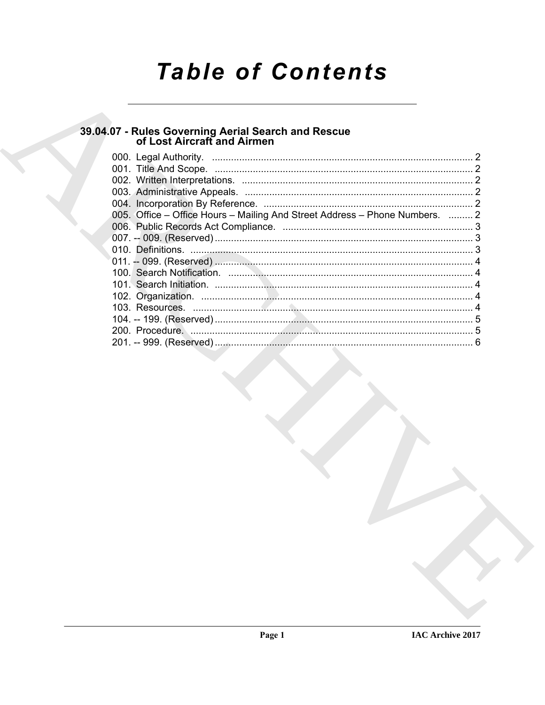# **Table of Contents**

## 39.04.07 - Rules Governing Aerial Search and Rescue<br>of Lost Aircraft and Airmen

| 005. Office – Office Hours – Mailing And Street Address – Phone Numbers.  2 |  |
|-----------------------------------------------------------------------------|--|
|                                                                             |  |
|                                                                             |  |
|                                                                             |  |
|                                                                             |  |
|                                                                             |  |
|                                                                             |  |
|                                                                             |  |
|                                                                             |  |
|                                                                             |  |
|                                                                             |  |
|                                                                             |  |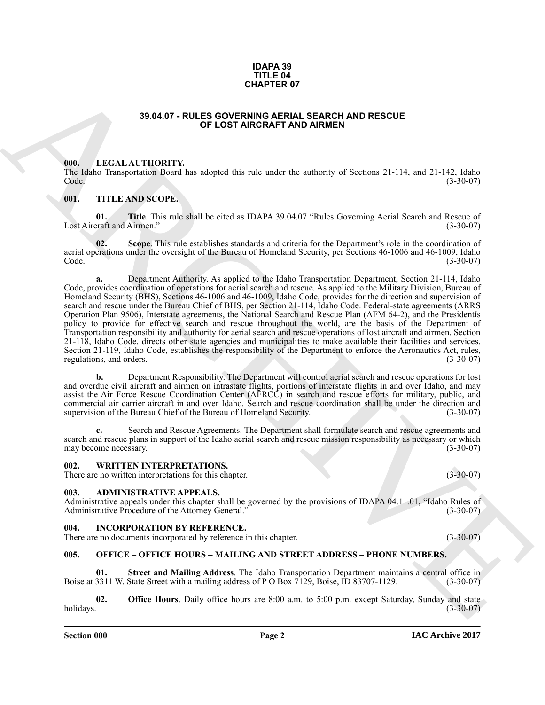#### **IDAPA 39 TITLE 04 CHAPTER 07**

#### **39.04.07 - RULES GOVERNING AERIAL SEARCH AND RESCUE OF LOST AIRCRAFT AND AIRMEN**

#### <span id="page-1-1"></span><span id="page-1-0"></span>**000. LEGAL AUTHORITY.**

The Idaho Transportation Board has adopted this rule under the authority of Sections 21-114, and 21-142, Idaho Code. (3-30-07) Code. (3-30-07)

#### <span id="page-1-2"></span>**001. TITLE AND SCOPE.**

**01. Title**. This rule shall be cited as IDAPA 39.04.07 "Rules Governing Aerial Search and Rescue of craft and Airmen." (3-30-07) Lost Aircraft and Airmen."

**Scope**. This rule establishes standards and criteria for the Department's role in the coordination of aerial operations under the oversight of the Bureau of Homeland Security, per Sections 46-1006 and 46-1009, Idaho Code. (3-30-07)

**38.04.07 - RULES OCKENVING AREA CENA CONFERENCE<br>
38.04.07 - RULES OCKENVING AREA ARCHIVAND RESIGNER<br>
100. IF.C.A.I. AITTHORITY,<br>
100. IF.C.A.I. AITTHORITY,<br>
100. IF.C.A.I. AITTHORITY,<br>
100. IF.C.A.I. AITTHORITY,<br>
100. IF a.** Department Authority. As applied to the Idaho Transportation Department, Section 21-114, Idaho Code, provides coordination of operations for aerial search and rescue. As applied to the Military Division, Bureau of Homeland Security (BHS), Sections 46-1006 and 46-1009, Idaho Code, provides for the direction and supervision of search and rescue under the Bureau Chief of BHS, per Section 21-114, Idaho Code. Federal-state agreements (ARRS Operation Plan 9506), Interstate agreements, the National Search and Rescue Plan (AFM 64-2), and the Presidentís policy to provide for effective search and rescue throughout the world, are the basis of the Department of Transportation responsibility and authority for aerial search and rescue operations of lost aircraft and airmen. Section 21-118, Idaho Code, directs other state agencies and municipalities to make available their facilities and services. Section 21-119, Idaho Code, establishes the responsibility of the Department to enforce the Aeronautics Act, rules, regulations, and orders. (3-30-07) regulations, and orders.

**b.** Department Responsibility. The Department will control aerial search and rescue operations for lost and overdue civil aircraft and airmen on intrastate flights, portions of interstate flights in and over Idaho, and may assist the Air Force Rescue Coordination Center (AFRCC) in search and rescue efforts for military, public, and commercial air carrier aircraft in and over Idaho. Search and rescue coordination shall be under the direction and supervision of the Bureau Chief of the Bureau of Homeland Security. (3-30-07)

**c.** Search and Rescue Agreements. The Department shall formulate search and rescue agreements and search and rescue plans in support of the Idaho aerial search and rescue mission responsibility as necessary or which may become necessary. (3-30-07)

#### <span id="page-1-3"></span>**002. WRITTEN INTERPRETATIONS.**

There are no written interpretations for this chapter. (3-30-07)

#### <span id="page-1-4"></span>**003. ADMINISTRATIVE APPEALS.**

Administrative appeals under this chapter shall be governed by the provisions of IDAPA 04.11.01, "Idaho Rules of Administrative Procedure of the Attorney General." (3-30-07) Administrative Procedure of the Attorney General."

#### <span id="page-1-5"></span>**004. INCORPORATION BY REFERENCE.**

There are no documents incorporated by reference in this chapter. (3-30-07)

#### <span id="page-1-6"></span>**005. OFFICE – OFFICE HOURS – MAILING AND STREET ADDRESS – PHONE NUMBERS.**

**01.** Street and Mailing Address. The Idaho Transportation Department maintains a central office in 3311 W. State Street with a mailing address of P O Box 7129, Boise, ID 83707-1129. (3-30-07) Boise at 3311 W. State Street with a mailing address of P O Box 7129, Boise, ID 83707-1129.

**02. Office Hours**. Daily office hours are 8:00 a.m. to 5:00 p.m. except Saturday, Sunday and state holidays. (3-30-07)  $h$ olidays.  $(3-30-07)$ 

**IAC Archive 2017**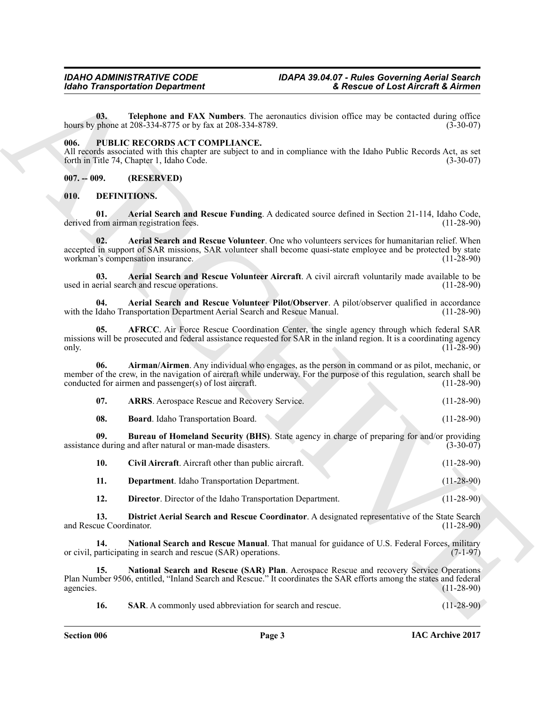**03. Telephone and FAX Numbers**. The aeronautics division office may be contacted during office phone at 208-334-8775 or by fax at 208-334-8789. hours by phone at 208-334-8775 or by fax at 208-334-8789.

#### <span id="page-2-0"></span>**006. PUBLIC RECORDS ACT COMPLIANCE.**

All records associated with this chapter are subject to and in compliance with the Idaho Public Records Act, as set forth in Title 74. Chapter 1. Idaho Code. (3-30-07) forth in Title 74, Chapter 1, Idaho Code.

<span id="page-2-1"></span>**007. -- 009. (RESERVED)**

#### <span id="page-2-19"></span><span id="page-2-2"></span>**010. DEFINITIONS.**

<span id="page-2-4"></span><span id="page-2-3"></span>**01. Aerial Search and Rescue Funding**. A dedicated source defined in Section 21-114, Idaho Code, derived from airman registration fees.

Globino Transportation Department<br>
10. The phasis of Cast Afferda R. Attitude 11. Attitude 2001 ATA National Contents and Tax Attitude 2001 ATA National Contents are also seen to content of the second state and the second **02. Aerial Search and Rescue Volunteer**. One who volunteers services for humanitarian relief. When accepted in support of SAR missions, SAR volunteer shall become quasi-state employee and be protected by state workman's compensation insurance. workman's compensation insurance.

<span id="page-2-5"></span>**03. Aerial Search and Rescue Volunteer Aircraft**. A civil aircraft voluntarily made available to be erial search and rescue operations. (11-28-90) used in aerial search and rescue operations.

<span id="page-2-6"></span>**04. Aerial Search and Rescue Volunteer Pilot/Observer**. A pilot/observer qualified in accordance with the Idaho Transportation Department Aerial Search and Rescue Manual.

<span id="page-2-7"></span>**05. AFRCC**. Air Force Rescue Coordination Center, the single agency through which federal SAR missions will be prosecuted and federal assistance requested for SAR in the inland region. It is a coordinating agency only. only. (11-28-90) (11-28-90)

**06. Airman/Airmen**. Any individual who engages, as the person in command or as pilot, mechanic, or member of the crew, in the navigation of aircraft while underway. For the purpose of this regulation, search shall be conducted for airmen and passenger(s) of lost aircraft. conducted for airmen and passenger(s) of lost aircraft.

<span id="page-2-9"></span><span id="page-2-8"></span>

| 07. | <b>ARRS.</b> Aerospace Rescue and Recovery Service. |  | $(11-28-90)$ |
|-----|-----------------------------------------------------|--|--------------|
|     |                                                     |  |              |

<span id="page-2-11"></span><span id="page-2-10"></span>**08. Board**. Idaho Transportation Board. (11-28-90)

**09. Bureau of Homeland Security (BHS)**. State agency in charge of preparing for and/or providing assistance during and after natural or man-made disasters. (3-30-07)

<span id="page-2-13"></span><span id="page-2-12"></span>

| 10. | Civil Aircraft. Aircraft other than public aircraft. |  | $(11-28-90)$ |
|-----|------------------------------------------------------|--|--------------|
|     |                                                      |  |              |

**11. Department**. Idaho Transportation Department. (11-28-90)

<span id="page-2-17"></span><span id="page-2-15"></span><span id="page-2-14"></span>**12. Director**. Director of the Idaho Transportation Department. (11-28-90)

**13. District Aerial Search and Rescue Coordinator**. A designated representative of the State Search and Rescue Coordinator.

**14.** National Search and Rescue Manual. That manual for guidance of U.S. Federal Forces, military participating in search and rescue (SAR) operations. (7-1-97) or civil, participating in search and rescue (SAR) operations.

**15. National Search and Rescue (SAR) Plan**. Aerospace Rescue and recovery Service Operations Plan Number 9506, entitled, "Inland Search and Rescue." It coordinates the SAR efforts among the states and federal agencies.  $(11-28-90)$ 

<span id="page-2-18"></span><span id="page-2-16"></span>**16. SAR**. A commonly used abbreviation for search and rescue. (11-28-90)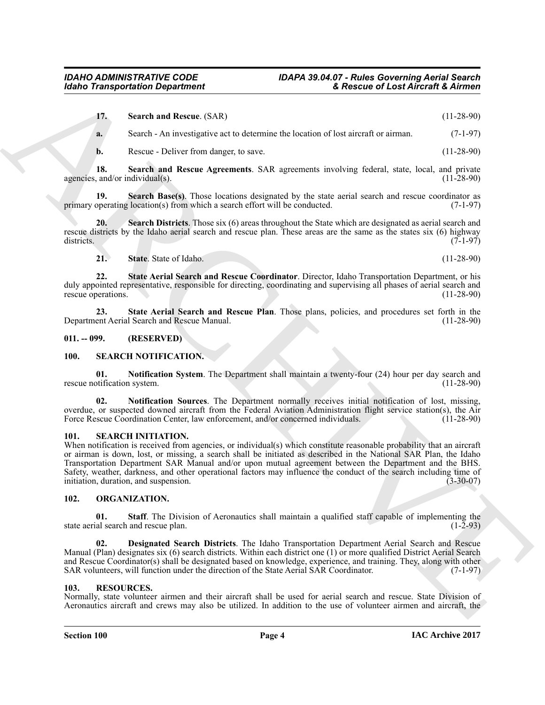<span id="page-3-6"></span><span id="page-3-5"></span>

| 17.       | <b>Search and Rescue.</b> (SAR)                                                     | $(11-28-90)$ |
|-----------|-------------------------------------------------------------------------------------|--------------|
| <b>a.</b> | Search - An investigative act to determine the location of lost aircraft or airman. | $(7-1-97)$   |
|           | Rescue - Deliver from danger, to save.                                              | $(11-28-90)$ |

**18. Search and Rescue Agreements**. SAR agreements involving federal, state, local, and private agencies, and/or individual $(s)$ .

<span id="page-3-7"></span>**19.** Search Base(s). Those locations designated by the state aerial search and rescue coordinator as operating location(s) from which a search effort will be conducted. (7-1-97) primary operating location(s) from which a search effort will be conducted.

**20.** Search Districts. Those six (6) areas throughout the State which are designated as aerial search and rescue districts by the Idaho aerial search and rescue plan. These areas are the same as the states six (6) highway districts.  $(7-1-97)$ districts. (7-1-97)

<span id="page-3-11"></span><span id="page-3-10"></span><span id="page-3-9"></span><span id="page-3-8"></span>**21. State**. State of Idaho. (11-28-90)

**22. State Aerial Search and Rescue Coordinator**. Director, Idaho Transportation Department, or his duly appointed representative, responsible for directing, coordinating and supervising all phases of aerial search and rescue operations. (11-28-90) rescue operations.

**23. State Aerial Search and Rescue Plan**. Those plans, policies, and procedures set forth in the Department Aerial Search and Rescue Manual. (11-28-90)

<span id="page-3-0"></span>**011. -- 099. (RESERVED)**

#### <span id="page-3-17"></span><span id="page-3-1"></span>**100. SEARCH NOTIFICATION.**

<span id="page-3-19"></span>**01. Notification System**. The Department shall maintain a twenty-four (24) hour per day search and rescue notification system.

<span id="page-3-18"></span>**02. Notification Sources**. The Department normally receives initial notification of lost, missing, overdue, or suspected downed aircraft from the Federal Aviation Administration flight service station(s), the Air<br>Force Rescue Coordination Center, law enforcement, and/or concerned individuals. (11-28-90) Force Rescue Coordination Center, law enforcement, and/or concerned individuals.

#### <span id="page-3-16"></span><span id="page-3-2"></span>**101. SEARCH INITIATION.**

**Example Transportation Department**<br>
13. Senato ARCHIVE COMMUNIST SURVEY AND CONTROL (13-2019)<br>
13. Senato ARCHIVE COMMUNIST SURVEY AND CONTROL (13-2019)<br>
14. Senato ARCHIVE COMMUNIST SURVEY AND SURVEY AND SURVEY AND SURV When notification is received from agencies, or individual(s) which constitute reasonable probability that an aircraft or airman is down, lost, or missing, a search shall be initiated as described in the National SAR Plan, the Idaho Transportation Department SAR Manual and/or upon mutual agreement between the Department and the BHS. Safety, weather, darkness, and other operational factors may influence the conduct of the search including time of initiation, duration, and suspension. (3-30-07)

#### <span id="page-3-12"></span><span id="page-3-3"></span>**102. ORGANIZATION.**

<span id="page-3-14"></span>**01. Staff**. The Division of Aeronautics shall maintain a qualified staff capable of implementing the state aerial search and rescue plan. (1-2-93)

<span id="page-3-13"></span>**02. Designated Search Districts**. The Idaho Transportation Department Aerial Search and Rescue Manual (Plan) designates six (6) search districts. Within each district one (1) or more qualified District Aerial Search and Rescue Coordinator(s) shall be designated based on knowledge, experience, and training. They, along with other SAR volunteers, will function under the direction of the State Aerial SAR Coordinator. (7-1-97) SAR volunteers, will function under the direction of the State Aerial SAR Coordinator.

#### <span id="page-3-15"></span><span id="page-3-4"></span>**103. RESOURCES.**

Normally, state volunteer airmen and their aircraft shall be used for aerial search and rescue. State Division of Aeronautics aircraft and crews may also be utilized. In addition to the use of volunteer airmen and aircraft, the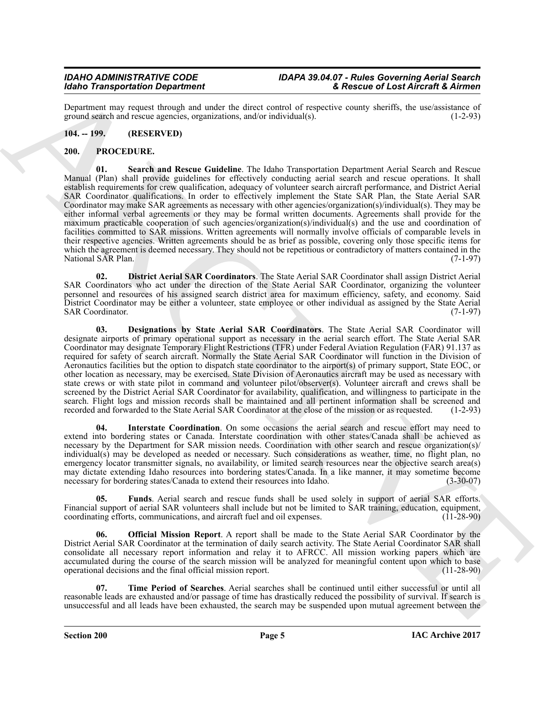Department may request through and under the direct control of respective county sheriffs, the use/assistance of ground search and rescue agencies, organizations, and/or individual(s). ground search and rescue agencies, organizations, and/or individual(s).

#### <span id="page-4-2"></span><span id="page-4-0"></span>**104. -- 199. (RESERVED)**

#### <span id="page-4-8"></span><span id="page-4-1"></span>**200. PROCEDURE.**

More Transportation Dependent of the state of the state of the state of the state of the state of the state of the state of the state of the state of the state of the state of the state of the state of the state of the st **01. Search and Rescue Guideline**. The Idaho Transportation Department Aerial Search and Rescue Manual (Plan) shall provide guidelines for effectively conducting aerial search and rescue operations. It shall establish requirements for crew qualification, adequacy of volunteer search aircraft performance, and District Aerial SAR Coordinator qualifications. In order to effectively implement the State SAR Plan, the State Aerial SAR Coordinator may make SAR agreements as necessary with other agencies/organization(s)/individual(s). They may be either informal verbal agreements or they may be formal written documents. Agreements shall provide for the maximum practicable cooperation of such agencies/organization(s)/individual(s) and the use and coordination of facilities committed to SAR missions. Written agreements will normally involve officials of comparable levels in their respective agencies. Written agreements should be as brief as possible, covering only those specific items for which the agreement is deemed necessary. They should not be repetitious or contradictory of matters contained in the<br>(7-1-97) National SAR Plan.

<span id="page-4-4"></span>**02. District Aerial SAR Coordinators**. The State Aerial SAR Coordinator shall assign District Aerial SAR Coordinators who act under the direction of the State Aerial SAR Coordinator, organizing the volunteer personnel and resources of his assigned search district area for maximum efficiency, safety, and economy. Said District Coordinator may be either a volunteer, state employee or other individual as assigned by the State Aerial SAR Coordinator. (7-1-97)

<span id="page-4-3"></span>**03. Designations by State Aerial SAR Coordinators**. The State Aerial SAR Coordinator will designate airports of primary operational support as necessary in the aerial search effort. The State Aerial SAR Coordinator may designate Temporary Flight Restrictions (TFR) under Federal Aviation Regulation (FAR) 91.137 as required for safety of search aircraft. Normally the State Aerial SAR Coordinator will function in the Division of Aeronautics facilities but the option to dispatch state coordinator to the airport(s) of primary support, State EOC, or other location as necessary, may be exercised. State Division of Aeronautics aircraft may be used as necessary with state crews or with state pilot in command and volunteer pilot/observer(s). Volunteer aircraft and crews shall be screened by the District Aerial SAR Coordinator for availability, qualification, and willingness to participate in the search. Flight logs and mission records shall be maintained and all pertinent information shall be screened and recorded and forwarded to the State Aerial SAR Coordinator at the close of the mission or as requested. (1-2-9 recorded and forwarded to the State Aerial SAR Coordinator at the close of the mission or as requested.

<span id="page-4-6"></span>**04. Interstate Coordination**. On some occasions the aerial search and rescue effort may need to extend into bordering states or Canada. Interstate coordination with other states/Canada shall be achieved as necessary by the Department for SAR mission needs. Coordination with other search and rescue organization(s)/ individual(s) may be developed as needed or necessary. Such considerations as weather, time, no flight plan, no emergency locator transmitter signals, no availability, or limited search resources near the objective search area(s) may dictate extending Idaho resources into bordering states/Canada. In a like manner, it may sometime become necessary for bordering states/Canada to extend their resources into Idaho. (3-30-07)

<span id="page-4-5"></span>**05. Funds**. Aerial search and rescue funds shall be used solely in support of aerial SAR efforts. Financial support of aerial SAR volunteers shall include but not be limited to SAR training, education, equipment, coordinating efforts, communications, and aircraft fuel and oil expenses. (11-28-90) coordinating efforts, communications, and aircraft fuel and oil expenses.

<span id="page-4-7"></span>**06. Official Mission Report**. A report shall be made to the State Aerial SAR Coordinator by the District Aerial SAR Coordinator at the termination of daily search activity. The State Aerial Coordinator SAR shall consolidate all necessary report information and relay it to AFRCC. All mission working papers which are accumulated during the course of the search mission will be analyzed for meaningful content upon which to base<br>operational decisions and the final official mission report. (11-28-90) operational decisions and the final official mission report.

<span id="page-4-9"></span>**07. Time Period of Searches**. Aerial searches shall be continued until either successful or until all reasonable leads are exhausted and/or passage of time has drastically reduced the possibility of survival. If search is unsuccessful and all leads have been exhausted, the search may be suspended upon mutual agreement between the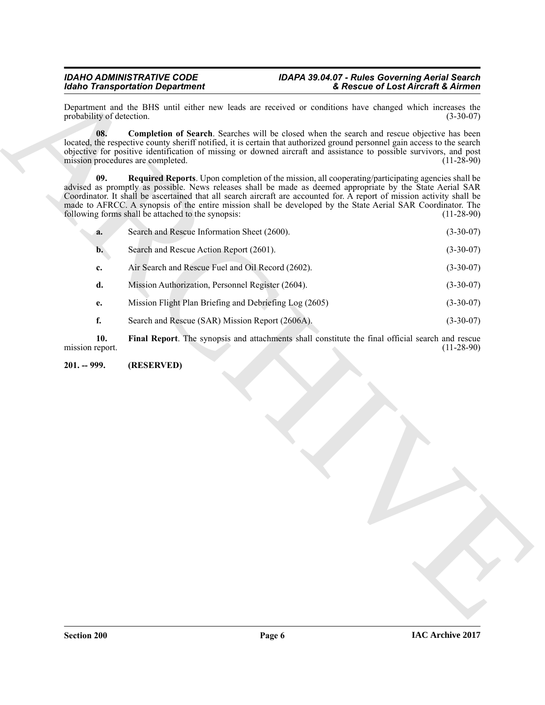<span id="page-5-3"></span><span id="page-5-2"></span><span id="page-5-1"></span><span id="page-5-0"></span>

| Department and the BHS until either new leads are received or conditions have changed which increases the<br>probability of detection.<br>08.<br><b>Completion of Search.</b> Searches will be closed when the search and rescue objective has been<br>located, the respective county sheriff notified, it is certain that authorized ground personnel gain access to the search<br>objective for positive identification of missing or downed aircraft and assistance to possible survivors, and post<br>mission procedures are completed.<br><b>Required Reports.</b> Upon completion of the mission, all cooperating/participating agencies shall be<br>09.<br>advised as promptly as possible. News releases shall be made as deemed appropriate by the State Aerial SAR<br>Coordinator. It shall be ascertained that all search aircraft are accounted for. A report of mission activity shall be<br>made to AFRCC. A synopsis of the entire mission shall be developed by the State Aerial SAR Coordinator. The<br>following forms shall be attached to the synopsis:<br>Search and Rescue Information Sheet (2600).<br>a.<br>Search and Rescue Action Report (2601).<br>$\mathbf{b}$ .<br>Air Search and Rescue Fuel and Oil Record (2602).<br>c.<br>d.<br>Mission Authorization, Personnel Register (2604).<br>Mission Flight Plan Briefing and Debriefing Log (2605)<br>e.<br>f.<br>Search and Rescue (SAR) Mission Report (2606A).<br>Final Report. The synopsis and attachments shall constitute the final official search and rescue<br>10.<br>(RESERVED)<br>$201. - 999.$ |                 | <b>Idaho Transportation Department</b> | & Rescue of Lost Aircraft & Airmen |
|----------------------------------------------------------------------------------------------------------------------------------------------------------------------------------------------------------------------------------------------------------------------------------------------------------------------------------------------------------------------------------------------------------------------------------------------------------------------------------------------------------------------------------------------------------------------------------------------------------------------------------------------------------------------------------------------------------------------------------------------------------------------------------------------------------------------------------------------------------------------------------------------------------------------------------------------------------------------------------------------------------------------------------------------------------------------------------------------------------------------------------------------------------------------------------------------------------------------------------------------------------------------------------------------------------------------------------------------------------------------------------------------------------------------------------------------------------------------------------------------------------------------------------------------------------------------------------------|-----------------|----------------------------------------|------------------------------------|
|                                                                                                                                                                                                                                                                                                                                                                                                                                                                                                                                                                                                                                                                                                                                                                                                                                                                                                                                                                                                                                                                                                                                                                                                                                                                                                                                                                                                                                                                                                                                                                                        |                 |                                        | $(3-30-07)$                        |
|                                                                                                                                                                                                                                                                                                                                                                                                                                                                                                                                                                                                                                                                                                                                                                                                                                                                                                                                                                                                                                                                                                                                                                                                                                                                                                                                                                                                                                                                                                                                                                                        |                 |                                        | $(11-28-90)$                       |
|                                                                                                                                                                                                                                                                                                                                                                                                                                                                                                                                                                                                                                                                                                                                                                                                                                                                                                                                                                                                                                                                                                                                                                                                                                                                                                                                                                                                                                                                                                                                                                                        |                 |                                        | $(11-28-90)$                       |
|                                                                                                                                                                                                                                                                                                                                                                                                                                                                                                                                                                                                                                                                                                                                                                                                                                                                                                                                                                                                                                                                                                                                                                                                                                                                                                                                                                                                                                                                                                                                                                                        |                 |                                        | $(3-30-07)$                        |
|                                                                                                                                                                                                                                                                                                                                                                                                                                                                                                                                                                                                                                                                                                                                                                                                                                                                                                                                                                                                                                                                                                                                                                                                                                                                                                                                                                                                                                                                                                                                                                                        |                 |                                        | $(3-30-07)$                        |
|                                                                                                                                                                                                                                                                                                                                                                                                                                                                                                                                                                                                                                                                                                                                                                                                                                                                                                                                                                                                                                                                                                                                                                                                                                                                                                                                                                                                                                                                                                                                                                                        |                 |                                        | $(3-30-07)$                        |
|                                                                                                                                                                                                                                                                                                                                                                                                                                                                                                                                                                                                                                                                                                                                                                                                                                                                                                                                                                                                                                                                                                                                                                                                                                                                                                                                                                                                                                                                                                                                                                                        |                 |                                        | $(3-30-07)$                        |
|                                                                                                                                                                                                                                                                                                                                                                                                                                                                                                                                                                                                                                                                                                                                                                                                                                                                                                                                                                                                                                                                                                                                                                                                                                                                                                                                                                                                                                                                                                                                                                                        |                 |                                        | $(3-30-07)$                        |
|                                                                                                                                                                                                                                                                                                                                                                                                                                                                                                                                                                                                                                                                                                                                                                                                                                                                                                                                                                                                                                                                                                                                                                                                                                                                                                                                                                                                                                                                                                                                                                                        |                 |                                        | $(3-30-07)$                        |
|                                                                                                                                                                                                                                                                                                                                                                                                                                                                                                                                                                                                                                                                                                                                                                                                                                                                                                                                                                                                                                                                                                                                                                                                                                                                                                                                                                                                                                                                                                                                                                                        | mission report. |                                        | $(11-28-90)$                       |
|                                                                                                                                                                                                                                                                                                                                                                                                                                                                                                                                                                                                                                                                                                                                                                                                                                                                                                                                                                                                                                                                                                                                                                                                                                                                                                                                                                                                                                                                                                                                                                                        |                 |                                        |                                    |